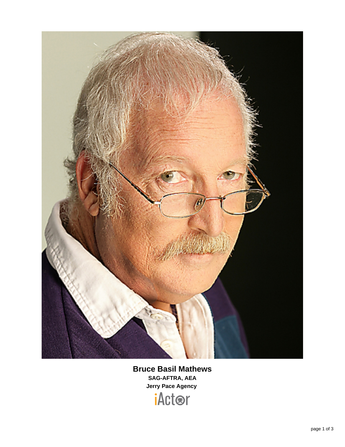

## **Bruce Basil Mathews SAG-AFTRA, AEA Jerry Pace Agency**

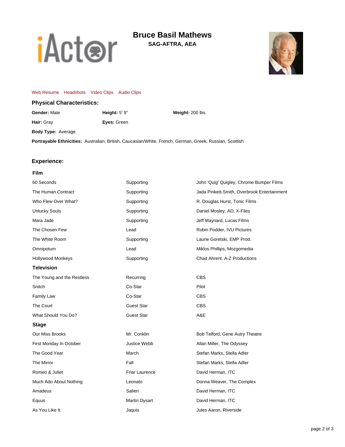

# **Bruce Basil Mathews**

**SAG-AFTRA, AEA**



#### [Web Resume](https://www.sagaftra.org/iactor/BruceBasilMathews.html) [Headshots](http://www.sagaftra.org:80/ocs/media/public/slideshow/getMediaForResume?resumeId=39637b47170da46b089efc3890d0729088ee4d7f:61b5567e:23651&mediaType=headshot) [Video Clips](http://www.sagaftra.org:80/ocs/media/public/slideshow/getMediaForResume?resumeId=39637b47170da46b089efc3890d0729088ee4d7f:61b5567e:23651&mediaType=video) [Audio Clips](http://www.sagaftra.org:80/ocs/media/public/slideshow/getMediaForResume?resumeId=39637b47170da46b089efc3890d0729088ee4d7f:61b5567e:23651&mediaType=audio)

**Hair:** Gray **Eyes:** Green

#### **Physical Characteristics:**

**Gender:** Male **Height:** 5' 9" **Weight:** 200 lbs.

**Body Type:** Average

**Portrayable Ethnicities:** Australian, British, Caucasian/White, French, German, Greek, Russian, Scottish

### **Experience:**

#### **Film**

| 60 Seconds                 | Supporting        | John 'Quig' Quigley, Chrome Bumper Films    |
|----------------------------|-------------------|---------------------------------------------|
| The Human Contract         | Supporting        | Jada Pinkett-Smith, Overbrook Entertainment |
| Who Flew Over What?        | Supporting        | R. Douglas Hurst, Tonic Films               |
| <b>Unlucky Souls</b>       | Supporting        | Daniel Mosley, AD, X-Files                  |
| Mara Jade                  | Supporting        | Jeff Maynard, Lucas Films                   |
| The Chosen Few             | Lead              | Robin Podder, IVU Pictures                  |
| The White Room             | Supporting        | Laurie Goretski, EMP Prod.                  |
| Omnipotum                  | Lead              | Miklos Phillips, Mozgomedia                 |
| <b>Hollywood Monkeys</b>   | Supporting        | Chad Ahrent, A-Z Productions                |
| <b>Television</b>          |                   |                                             |
| The Young and the Restless | Recurring         | <b>CBS</b>                                  |
| Snitch                     | Co-Star           | Pilot                                       |
| Family Law                 | Co-Star           | <b>CBS</b>                                  |
| The Court                  | <b>Guest Star</b> | <b>CBS</b>                                  |
| What Should You Do?        | <b>Guest Star</b> | A&E                                         |
| <b>Stage</b>               |                   |                                             |
| Our Miss Brooks            | Mr. Conklin       | Bob Telford, Gene Autry Theatre             |
| First Monday In October    | Justice Webb      | Allan Miller, The Odyssey                   |
| The Good Year              | March             | Stefan Marks, Stella Adler                  |
| The Mirror                 | Fall              | Stefan Marks, Stella Adler                  |
| Romeo & Juliet             | Friar Laurence    | David Herman, ITC                           |
| Much Ado About Nothing     | Leonato           | Donna Weaver, The Complex                   |
| Amadeus                    | Salieri           | David Herman, ITC                           |
| Equus                      | Martin Dysart     | David Herman, ITC                           |
| As You Like It             | Jaquis            | Jules Aaron, Riverside                      |